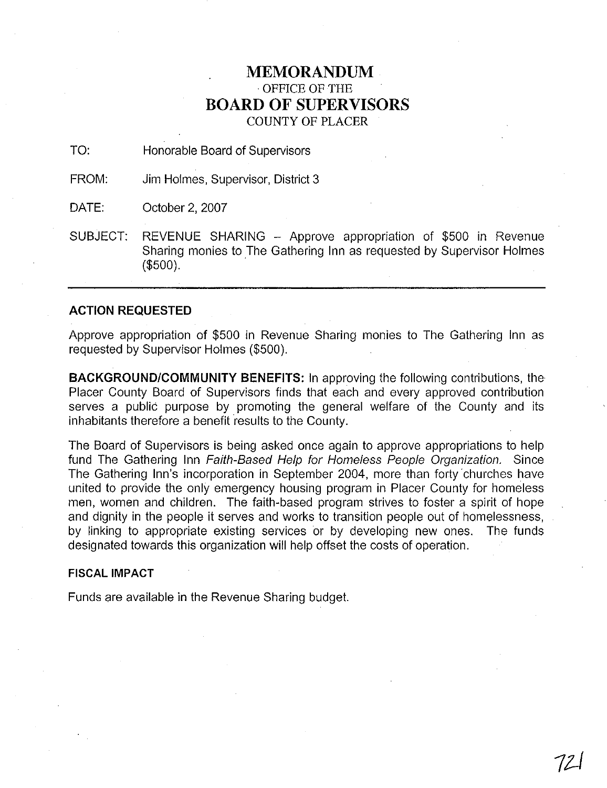## **MEMORANDUM**  OFFICE OF THE **BOARD OF SUPERVISORS**  COUNTY OF PLACER

TO: Honorable Board of Supervisors

FROM: Jim Holmes, Supervisor, District 3

DATE: October 2.2007

SUBJECT: REVENUE SHARING - Approve appropriation of \$500 in Revenue<br>Sharing monies to The Gathering Inn as requested by Supervisor Holmes (\$500).

#### **ACTION REQUESTED**

Approve appropriation of \$500 in Revenue Sharing monies to The Gathering Inn as requested by Supervisor Holmes (\$500).

**BACKGROUNDICOMMUNITY BENEFITS:** In approving the following contributions, the Placer County Board of Supervisors finds that each and every approved contribution serves a public purpose by promoting the general welfare of the County and its inhabitants therefore a benefit results to the County.

The Board of Supervisors is being asked once again to approve appropriations to help fund The Gathering Inn Faith-Based Help for Homeless People Organization. Since The Gathering Inn's incorporation in September 2004, more than forty churches have united to provide the only emergency housing program in Placer County for homeless men, women and children. The faith-based program strives to foster a spirit of hope and dignity in the people it serves and works to transition people out of homelessness, by linking to appropriate existing services or by developing new ones. The funds designated towards this organization will help offset the costs of operation.

#### **FISCAL IMPACT**

Funds are available in the Revenue Sharing budget